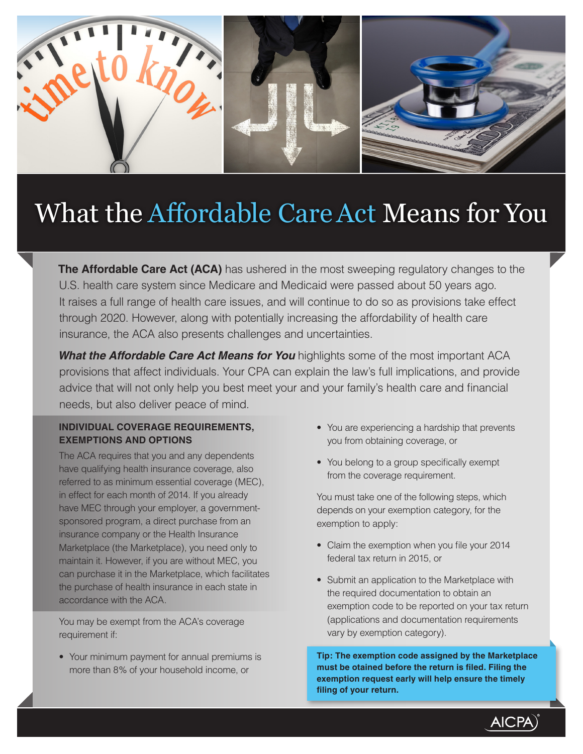

# What the Affordable Care Act Means for You

**The Affordable Care Act (ACA)** has ushered in the most sweeping regulatory changes to the U.S. health care system since Medicare and Medicaid were passed about 50 years ago. It raises a full range of health care issues, and will continue to do so as provisions take effect through 2020. However, along with potentially increasing the affordability of health care insurance, the ACA also presents challenges and uncertainties.

**What the Affordable Care Act Means for You** highlights some of the most important ACA provisions that affect individuals. Your CPA can explain the law's full implications, and provide advice that will not only help you best meet your and your family's health care and financial needs, but also deliver peace of mind.

## **INDIVIDUAL COVERAGE REQUIREMENTS, EXEMPTIONS AND OPTIONS**

The ACA requires that you and any dependents have qualifying health insurance coverage, also referred to as minimum essential coverage (MEC), in effect for each month of 2014. If you already have MEC through your employer, a governmentsponsored program, a direct purchase from an insurance company or the Health Insurance Marketplace (the Marketplace), you need only to maintain it. However, if you are without MEC, you can purchase it in the Marketplace, which facilitates the purchase of health insurance in each state in accordance with the ACA.

You may be exempt from the ACA's coverage requirement if:

• Your minimum payment for annual premiums is more than 8% of your household income, or

- You are experiencing a hardship that prevents you from obtaining coverage, or
- You belong to a group specifically exempt from the coverage requirement.

You must take one of the following steps, which depends on your exemption category, for the exemption to apply:

- Claim the exemption when you file your 2014 federal tax return in 2015, or
- Submit an application to the Marketplace with the required documentation to obtain an exemption code to be reported on your tax return (applications and documentation requirements vary by exemption category).

**Tip: The exemption code assigned by the Marketplace must be otained before the return is filed. Filing the exemption request early will help ensure the timely filing of your return.**